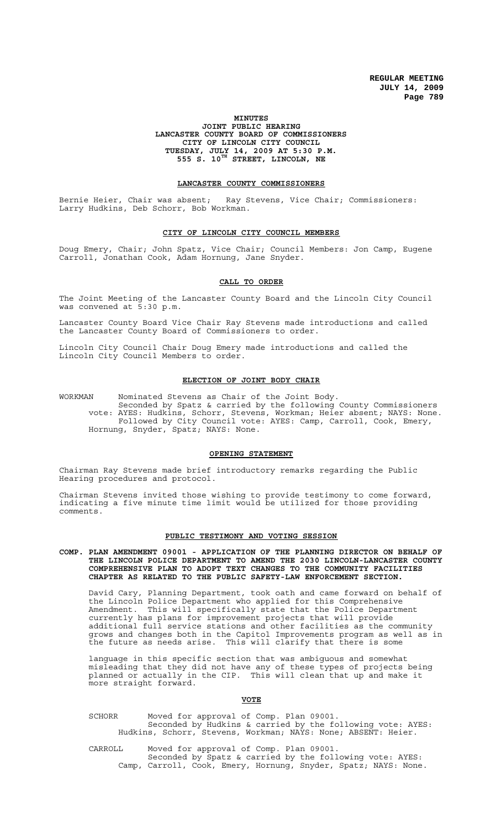## **MINUTES JOINT PUBLIC HEARING LANCASTER COUNTY BOARD OF COMMISSIONERS CITY OF LINCOLN CITY COUNCIL TUESDAY, JULY 14, 2009 AT 5:30 P.M. 555 S. 10TH STREET, LINCOLN, NE**

## **LANCASTER COUNTY COMMISSIONERS**

Bernie Heier, Chair was absent; Ray Stevens, Vice Chair; Commissioners: Larry Hudkins, Deb Schorr, Bob Workman.

# **CITY OF LINCOLN CITY COUNCIL MEMBERS**

Doug Emery, Chair; John Spatz, Vice Chair; Council Members: Jon Camp, Eugene Carroll, Jonathan Cook, Adam Hornung, Jane Snyder.

## **CALL TO ORDER**

The Joint Meeting of the Lancaster County Board and the Lincoln City Council was convened at 5:30 p.m.

Lancaster County Board Vice Chair Ray Stevens made introductions and called the Lancaster County Board of Commissioners to order.

Lincoln City Council Chair Doug Emery made introductions and called the Lincoln City Council Members to order.

## **ELECTION OF JOINT BODY CHAIR**

WORKMAN Nominated Stevens as Chair of the Joint Body. Seconded by Spatz & carried by the following County Commissioners vote: AYES: Hudkins, Schorr, Stevens, Workman; Heier absent; NAYS: None. Followed by City Council vote: AYES: Camp, Carroll, Cook, Emery, Hornung, Snyder, Spatz; NAYS: None.

## **OPENING STATEMENT**

Chairman Ray Stevens made brief introductory remarks regarding the Public Hearing procedures and protocol.

Chairman Stevens invited those wishing to provide testimony to come forward, indicating a five minute time limit would be utilized for those providing comments.

## **PUBLIC TESTIMONY AND VOTING SESSION**

**COMP. PLAN AMENDMENT 09001 - APPLICATION OF THE PLANNING DIRECTOR ON BEHALF OF THE LINCOLN POLICE DEPARTMENT TO AMEND THE 2030 LINCOLN-LANCASTER COUNTY COMPREHENSIVE PLAN TO ADOPT TEXT CHANGES TO THE COMMUNITY FACILITIES CHAPTER AS RELATED TO THE PUBLIC SAFETY-LAW ENFORCEMENT SECTION.**

David Cary, Planning Department, took oath and came forward on behalf of the Lincoln Police Department who applied for this Comprehensive Amendment. This will specifically state that the Police Department currently has plans for improvement projects that will provide additional full service stations and other facilities as the community grows and changes both in the Capitol Improvements program as well as in the future as needs arise. This will clarify that there is some

language in this specific section that was ambiguous and somewhat misleading that they did not have any of these types of projects being planned or actually in the CIP. This will clean that up and make it more straight forward.

## **VOTE**

SCHORR Moved for approval of Comp. Plan 09001. Seconded by Hudkins & carried by the following vote: AYES: Hudkins, Schorr, Stevens, Workman; NAYS: None; ABSENT: Heier.

CARROLL Moved for approval of Comp. Plan 09001. Seconded by Spatz & carried by the following vote: AYES: Camp, Carroll, Cook, Emery, Hornung, Snyder, Spatz; NAYS: None.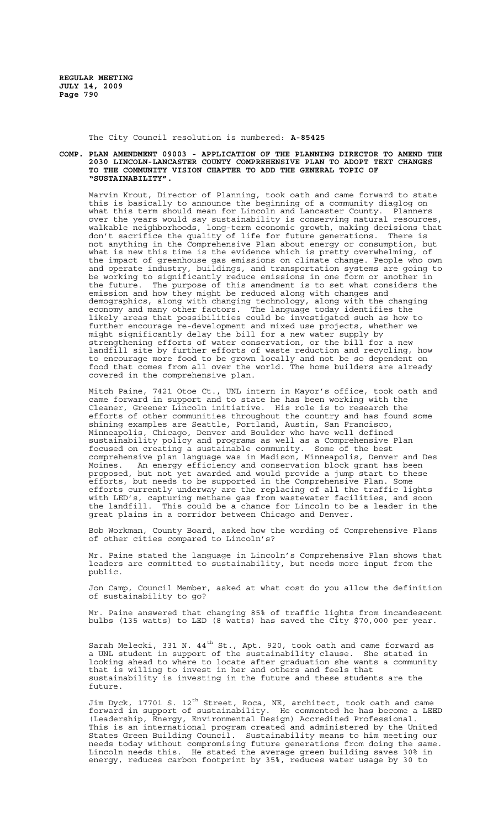The City Council resolution is numbered: **A-85425**

#### **COMP. PLAN AMENDMENT 09003 - APPLICATION OF THE PLANNING DIRECTOR TO AMEND THE 2030 LINCOLN-LANCASTER COUNTY COMPREHENSIVE PLAN TO ADOPT TEXT CHANGES TO THE COMMUNITY VISION CHAPTER TO ADD THE GENERAL TOPIC OF "SUSTAINABILITY".**

Marvin Krout, Director of Planning, took oath and came forward to state this is basically to announce the beginning of a community diaglog on what this term should mean for Lincoln and Lancaster County. Planners over the years would say sustainability is conserving natural resources, walkable neighborhoods, long-term economic growth, making decisions that don't sacrifice the quality of life for future generations. There is<br>don't sacrifice the quality of life for future generations. There is not anything in the Comprehensive Plan about energy or consumption, but what is new this time is the evidence which is pretty overwhelming, of the impact of greenhouse gas emissions on climate change. People who own and operate industry, buildings, and transportation systems are going to be working to significantly reduce emissions in one form or another in the future. The purpose of this amendment is to set what considers the emission and how they might be reduced along with changes and demographics, along with changing technology, along with the changing economy and many other factors. The language today identifies the likely areas that possibilities could be investigated such as how to further encourage re-development and mixed use projects, whether we might significantly delay the bill for a new water supply by strengthening efforts of water conservation, or the bill for a new landfill site by further efforts of waste reduction and recycling, how to encourage more food to be grown locally and not be so dependent on food that comes from all over the world. The home builders are already covered in the comprehensive plan.

Mitch Paine, 7421 Otoe Ct., UNL intern in Mayor's office, took oath and came forward in support and to state he has been working with the Cleaner, Greener Lincoln initiative. His role is to research the efforts of other communities throughout the country and has found some shining examples are Seattle, Portland, Austin, San Francisco, Minneapolis, Chicago, Denver and Boulder who have well defined sustainability policy and programs as well as a Comprehensive Plan focused on creating a sustainable community. Some of the best comprehensive plan language was in Madison, Minneapolis, Denver and Des Moines. An energy efficiency and conservation block grant has been proposed, but not yet awarded and would provide a jump start to these efforts, but needs to be supported in the Comprehensive Plan. Some efforts currently underway are the replacing of all the traffic lights with LED's, capturing methane gas from wastewater facilities, and soon the landfill. This could be a chance for Lincoln to be a leader in the great plains in a corridor between Chicago and Denver.

Bob Workman, County Board, asked how the wording of Comprehensive Plans of other cities compared to Lincoln's?

Mr. Paine stated the language in Lincoln's Comprehensive Plan shows that leaders are committed to sustainability, but needs more input from the public.

Jon Camp, Council Member, asked at what cost do you allow the definition of sustainability to go?

Mr. Paine answered that changing 85% of traffic lights from incandescent bulbs (135 watts) to LED (8 watts) has saved the City \$70,000 per year.

Sarah Melecki, 331 N.  $44<sup>th</sup>$  St., Apt. 920, took oath and came forward as a UNL student in support of the sustainability clause. She stated in looking ahead to where to locate after graduation she wants a community that is willing to invest in her and others and feels that sustainability is investing in the future and these students are the future.

Jim Dyck, 17701 S. 12 $^{\rm th}$  Street, Roca, NE, architect, took oath and came forward in support of sustainability. He commented he has become a LEED (Leadership, Energy, Environmental Design) Accredited Professional. This is an international program created and administered by the United States Green Building Council. Sustainability means to him meeting our needs today without compromising future generations from doing the same. Lincoln needs this. He stated the average green building saves 30% in energy, reduces carbon footprint by 35%, reduces water usage by 30 to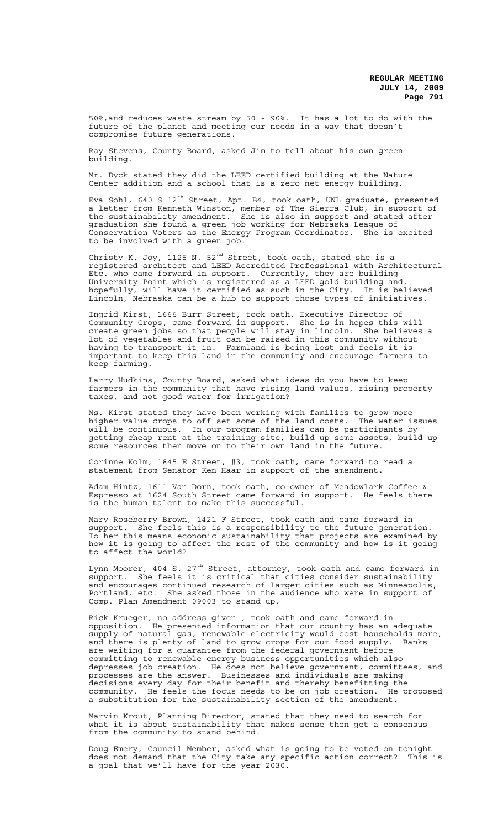50%,and reduces waste stream by 50 - 90%. It has a lot to do with the future of the planet and meeting our needs in a way that doesn't compromise future generations.

Ray Stevens, County Board, asked Jim to tell about his own green building.

Mr. Dyck stated they did the LEED certified building at the Nature Center addition and a school that is a zero net energy building.

Eva Sohl, 640 S  $12^{\text{th}}$  Street, Apt. B4, took oath, UNL graduate, presented a letter from Kenneth Winston, member of The Sierra Club, in support of the sustainability amendment. She is also in support and stated after graduation she found a green job working for Nebraska League of Conservation Voters as the Energy Program Coordinator. She is excited to be involved with a green job.

Christy K. Joy, 1125 N.  $52<sup>nd</sup>$  Street, took oath, stated she is a registered architect and LEED Accredited Professional with Architectural Etc. who came forward in support. Currently, they are building University Point which is registered as a LEED gold building and, hopefully, will have it certified as such in the City. It is believed Lincoln, Nebraska can be a hub to support those types of initiatives.

Ingrid Kirst, 1666 Burr Street, took oath, Executive Director of Community Crops, came forward in support. She is in hopes this will create green jobs so that people will stay in Lincoln. She believes a lot of vegetables and fruit can be raised in this community without having to transport it in. Farmland is being lost and feels it is important to keep this land in the community and encourage farmers to keep farming.

Larry Hudkins, County Board, asked what ideas do you have to keep farmers in the community that have rising land values, rising property taxes, and not good water for irrigation?

Ms. Kirst stated they have been working with families to grow more higher value crops to off set some of the land costs. The water issues will be continuous. In our program families can be participants by getting cheap rent at the training site, build up some assets, build up some resources then move on to their own land in the future.

Corinne Kolm, 1845 E Street, #3, took oath, came forward to read a statement from Senator Ken Haar in support of the amendment.

Adam Hintz, 1611 Van Dorn, took oath, co-owner of Meadowlark Coffee & Espresso at 1624 South Street came forward in support. He feels there is the human talent to make this successful.

Mary Roseberry Brown, 1421 F Street, took oath and came forward in support. She feels this is a responsibility to the future generation. To her this means economic sustainability that projects are examined by how it is going to affect the rest of the community and how is it going to affect the world?

Lynn Moorer, 404 S. 27 $^{\rm th}$  Street, attorney, took oath and came forward in support. She feels it is critical that cities consider sustainability and encourages continued research of larger cities such as Minneapolis,<br>Portland, etc. She asked those in the audience who were in support of She asked those in the audience who were in support of Comp. Plan Amendment 09003 to stand up.

Rick Krueger, no address given , took oath and came forward in opposition. He presented information that our country has an adequate supply of natural gas, renewable electricity would cost households more, and there is plenty of land to grow crops for our food supply. Banks are waiting for a guarantee from the federal government before committing to renewable energy business opportunities which also depresses job creation. He does not believe government, committees, and processes are the answer. Businesses and individuals are making decisions every day for their benefit and thereby benefitting the community. He feels the focus needs to be on job creation. He proposed a substitution for the sustainability section of the amendment.

Marvin Krout, Planning Director, stated that they need to search for what it is about sustainability that makes sense then get a consensus from the community to stand behind.

Doug Emery, Council Member, asked what is going to be voted on tonight does not demand that the City take any specific action correct? This is a goal that we'll have for the year 2030.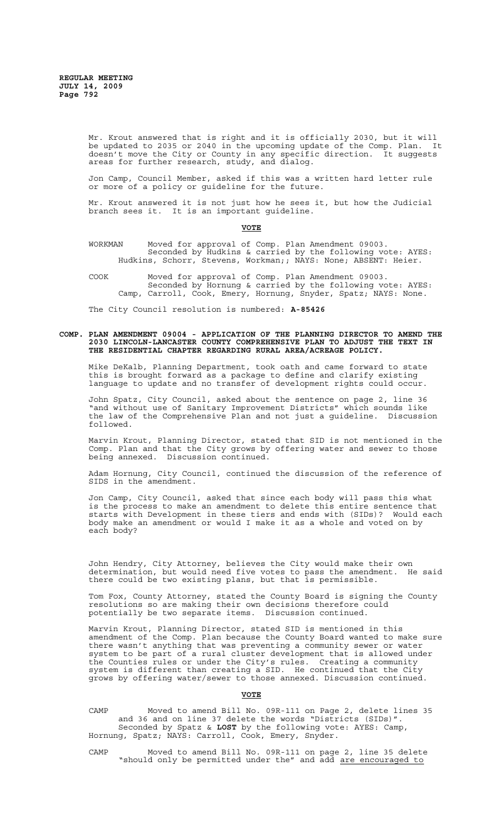Mr. Krout answered that is right and it is officially 2030, but it will be updated to 2035 or 2040 in the upcoming update of the Comp. Plan. It doesn't move the City or County in any specific direction. It suggests areas for further research, study, and dialog.

Jon Camp, Council Member, asked if this was a written hard letter rule or more of a policy or guideline for the future.

Mr. Krout answered it is not just how he sees it, but how the Judicial branch sees it. It is an important guideline.

#### **VOTE**

- WORKMAN Moved for approval of Comp. Plan Amendment 09003. Seconded by Hudkins & carried by the following vote: AYES: Hudkins, Schorr, Stevens, Workman;; NAYS: None; ABSENT: Heier.
- COOK Moved for approval of Comp. Plan Amendment 09003. Seconded by Hornung & carried by the following vote: AYES: Camp, Carroll, Cook, Emery, Hornung, Snyder, Spatz; NAYS: None.

The City Council resolution is numbered: **A-85426**

## **COMP. PLAN AMENDMENT 09004 - APPLICATION OF THE PLANNING DIRECTOR TO AMEND THE 2030 LINCOLN-LANCASTER COUNTY COMPREHENSIVE PLAN TO ADJUST THE TEXT IN THE RESIDENTIAL CHAPTER REGARDING RURAL AREA/ACREAGE POLICY.**

Mike DeKalb, Planning Department, took oath and came forward to state this is brought forward as a package to define and clarify existing language to update and no transfer of development rights could occur.

John Spatz, City Council, asked about the sentence on page 2, line 36 "and without use of Sanitary Improvement Districts" which sounds like the law of the Comprehensive Plan and not just a guideline. Discussion followed.

Marvin Krout, Planning Director, stated that SID is not mentioned in the Comp. Plan and that the City grows by offering water and sewer to those being annexed. Discussion continued.

Adam Hornung, City Council, continued the discussion of the reference of SIDS in the amendment.

Jon Camp, City Council, asked that since each body will pass this what is the process to make an amendment to delete this entire sentence that<br>starts with Development in these tiers and ends with (SIDs)? Would each starts with Development in these tiers and ends with (SIDs)? Would each body make an amendment or would I make it as a whole and voted on by each body?

John Hendry, City Attorney, believes the City would make their own determination, but would need five votes to pass the amendment. He said there could be two existing plans, but that is permissible.

Tom Fox, County Attorney, stated the County Board is signing the County resolutions so are making their own decisions therefore could potentially be two separate items. Discussion continued.

Marvin Krout, Planning Director, stated SID is mentioned in this amendment of the Comp. Plan because the County Board wanted to make sure there wasn't anything that was preventing a community sewer or water system to be part of a rural cluster development that is allowed under the Counties rules or under the City's rules. Creating a community system is different than creating a SID. He continued that the City grows by offering water/sewer to those annexed. Discussion continued.

## **VOTE**

CAMP Moved to amend Bill No. 09R-111 on Page 2, delete lines 35 and 36 and on line 37 delete the words "Districts (SIDs)". Seconded by Spatz & **LOST** by the following vote: AYES: Camp, Hornung, Spatz; NAYS: Carroll, Cook, Emery, Snyder.

CAMP Moved to amend Bill No. 09R-111 on page 2, line 35 delete "should only be permitted under the" and add are encouraged to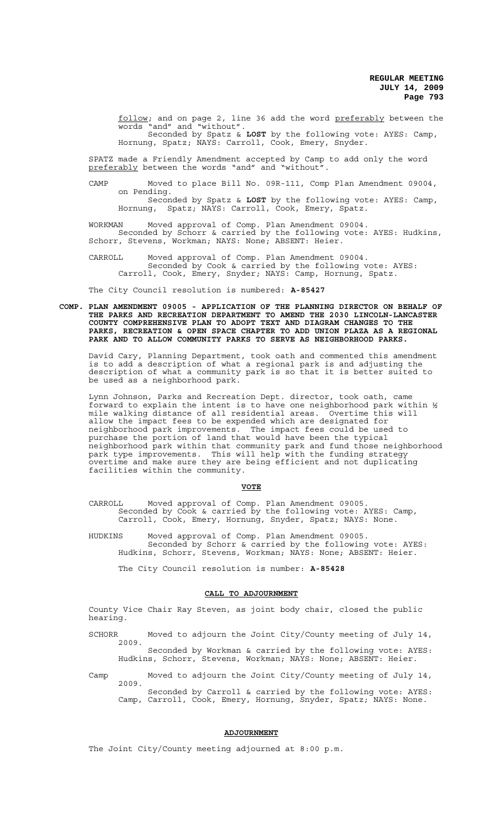follow; and on page 2, line 36 add the word preferably between the words "and" and "without". words "and" and "without". Seconded by Spatz & **LOST** by the following vote: AYES: Camp, Hornung, Spatz; NAYS: Carroll, Cook, Emery, Snyder.

SPATZ made a Friendly Amendment accepted by Camp to add only the word preferably between the words "and" and "without".

CAMP Moved to place Bill No. 09R-111, Comp Plan Amendment 09004, on Pending. Seconded by Spatz & **LOST** by the following vote: AYES: Camp, Hornung, Spatz; NAYS: Carroll, Cook, Emery, Spatz.

WORKMAN Moved approval of Comp. Plan Amendment 09004. Seconded by Schorr & carried by the following vote: AYES: Hudkins, Schorr, Stevens, Workman; NAYS: None; ABSENT: Heier.

CARROLL Moved approval of Comp. Plan Amendment 09004. Seconded by Cook & carried by the following vote: AYES: Carroll, Cook, Emery, Snyder; NAYS: Camp, Hornung, Spatz.

The City Council resolution is numbered: **A-85427**

**COMP. PLAN AMENDMENT 09005 - APPLICATION OF THE PLANNING DIRECTOR ON BEHALF OF THE PARKS AND RECREATION DEPARTMENT TO AMEND THE 2030 LINCOLN-LANCASTER COUNTY COMPREHENSIVE PLAN TO ADOPT TEXT AND DIAGRAM CHANGES TO THE PARKS, RECREATION & OPEN SPACE CHAPTER TO ADD UNION PLAZA AS A REGIONAL PARK AND TO ALLOW COMMUNITY PARKS TO SERVE AS NEIGHBORHOOD PARKS.**

David Cary, Planning Department, took oath and commented this amendment is to add a description of what a regional park is and adjusting the description of what a community park is so that it is better suited to be used as a neighborhood park.

Lynn Johnson, Parks and Recreation Dept. director, took oath, came forward to explain the intent is to have one neighborhood park within ½ mile walking distance of all residential areas. Overtime this will allow the impact fees to be expended which are designated for neighborhood park improvements. The impact fees could be used to purchase the portion of land that would have been the typical neighborhood park within that community park and fund those neighborhood park type improvements. This will help with the funding strategy overtime and make sure they are being efficient and not duplicating facilities within the community.

#### **VOTE**

CARROLL Moved approval of Comp. Plan Amendment 09005. Seconded by Cook & carried by the following vote: AYES: Camp, Carroll, Cook, Emery, Hornung, Snyder, Spatz; NAYS: None.

HUDKINS Moved approval of Comp. Plan Amendment 09005. Seconded by Schorr & carried by the following vote: AYES: Hudkins, Schorr, Stevens, Workman; NAYS: None; ABSENT: Heier.

The City Council resolution is number: **A-85428**

#### **CALL TO ADJOURNMENT**

County Vice Chair Ray Steven, as joint body chair, closed the public hearing.

SCHORR Moved to adjourn the Joint City/County meeting of July 14, 2009.

Seconded by Workman & carried by the following vote: AYES: Hudkins, Schorr, Stevens, Workman; NAYS: None; ABSENT: Heier.

Camp Moved to adjourn the Joint City/County meeting of July 14, 2009. Seconded by Carroll & carried by the following vote: AYES: Camp, Carroll, Cook, Emery, Hornung, Snyder, Spatz; NAYS: None.

## **ADJOURNMENT**

The Joint City/County meeting adjourned at 8:00 p.m.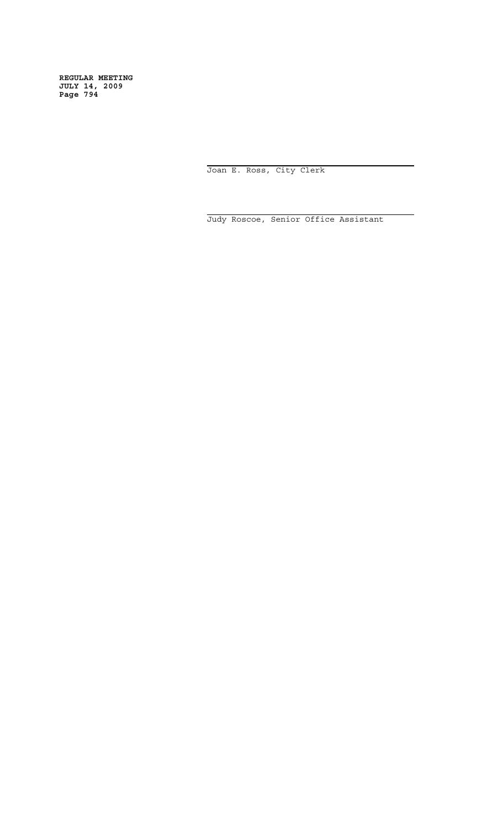> i Joan E. Ross, City Clerk

i Judy Roscoe, Senior Office Assistant